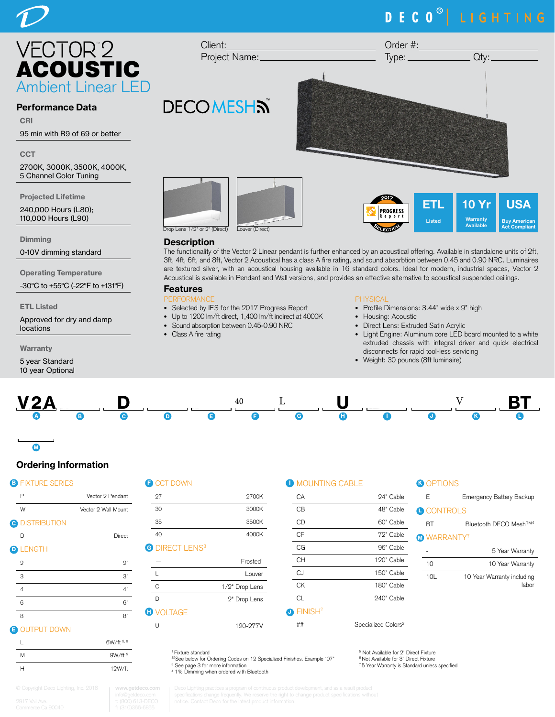# DECO<sup>®</sup> LIGHTING

 $Type:$   $Qty:$ 

ETL Listed

 $\mathbf 0$ Warrant Available

USA Buy American Act Compliant



### Performance Data

CRI

95 min with R9 of 69 or better

**CCT** 

2700K, 3000K, 3500K, 4000K, 5 Channel Color Tuning

Projected Lifetime

240,000 Hours (L80); 110,000 Hours (L90)

**Dimming** 

0-10V dimming standard

Operating Temperature

-30°C to +55°C (-22°F to +131°F)

ETL Listed

Approved for dry and damp locations

Warranty

5 year Standard 10 year Optional



Client:

**DECOMESHN** 

Project Name:

### **Description**

The functionality of the Vector 2 Linear pendant is further enhanced by an acoustical offering. Available in standalone units of 2ft, 3ft, 4ft, 6ft, and 8ft, Vector 2 Acoustical has a class A fire rating, and sound absorbtion between 0.45 and 0.90 NRC. Luminaires are textured silver, with an acoustical housing available in 16 standard colors. Ideal for modern, industrial spaces, Vector 2 Acoustical is available in Pendant and Wall versions, and provides an effective alternative to acoustical suspended ceilings.

### Features

- PERFORMANCE • Selected by IES for the 2017 Progress Report
- Up to 1200 lm/ft direct, 1,400 lm/ft indirect at 4000K
- Sound absorption between 0.45-0.90 NRC
- Class A fire rating

### **PHYSICAL**

- Profile Dimensions: 3.44" wide x 9" high
- Housing: Acoustic

**PROGRESS** Report

• Direct Lens: Extruded Satin Acrylic

Order #:

- Light Engine: Aluminum core LED board mounted to a white extruded chassis with integral driver and quick electrical disconnects for rapid tool-less servicing
- Weight: 30 pounds (8ft luminaire)



### Ordering Information

### **B** FIXTURE SERIES

M

 $\overline{\phantom{a}}$ 

| . . | <b>FIATURE JERIEJ</b> |                     |   |
|-----|-----------------------|---------------------|---|
|     | Ρ                     | Vector 2 Pendant    |   |
|     | W                     | Vector 2 Wall Mount |   |
|     | <b>O DISTRIBUTION</b> |                     |   |
|     | D                     | Direct              |   |
|     | <b>D</b> LENGTH       |                     | G |
|     | $\mathbf{2}$          | 2'                  |   |
|     | 3                     | 3'                  |   |
|     | 4                     |                     |   |

| æ | CCT DOWN |  |
|---|----------|--|
|   |          |  |

| 27                                | 2700K                |
|-----------------------------------|----------------------|
| 30                                | 3000K                |
| 35                                | 3500K                |
| 40                                | 4000K                |
| <b>G</b> DIRECT LENS <sup>3</sup> |                      |
|                                   | Frosted <sup>1</sup> |
|                                   | Louver               |
| C                                 | 1/2" Drop Lens       |
|                                   | 2" Drop Lens         |

U 120-277V

#### **D** MOUNTING CABLE

| <u>UN IN WALL</u>   |            |
|---------------------|------------|
| CА                  | 24" Cable  |
| CВ                  | 48" Cable  |
| СD                  | 60" Cable  |
| СF                  | 72" Cable  |
| СG                  | 96" Cable  |
| CН                  | 120" Cable |
| CJ                  | 150" Cable |
| СK                  | 180" Cable |
| СL                  | 240" Cable |
| FINISH <sup>2</sup> |            |
|                     |            |

## Specialized Colors<sup>2</sup>

## **B** OPTIONS

| F                       | <b>Emergency Battery Backup</b>     |
|-------------------------|-------------------------------------|
|                         |                                     |
| <b>A CONTROLS</b>       |                                     |
| RТ                      | Bluetooth DECO Mesh™ <sup>4</sup>   |
| M WARRANTY <sup>'</sup> |                                     |
|                         | 5 Year Warranty                     |
| 10                      | 10 Year Warranty                    |
| 10I                     | 10 Year Warranty including<br>labor |

**B** OUTPUT DOWN

|   | 6W/ft 5, 6 |
|---|------------|
| M | 9W/ft 5    |
| н | 12W/ft     |

6 6' 8 8'

1 Fixture standard

**D** VOLTAGE

<sup>32</sup>See below for Ordering Codes on 12 Specialized Finishes. Example "07" 3 See page 3 for more information 4 1% Dimming when ordered with Bluetooth

5 Not Available for 2' Direct Fixture 6 Not Available for 3' Direct Fixture 7 5 Year Warranty is Standard unless specified

J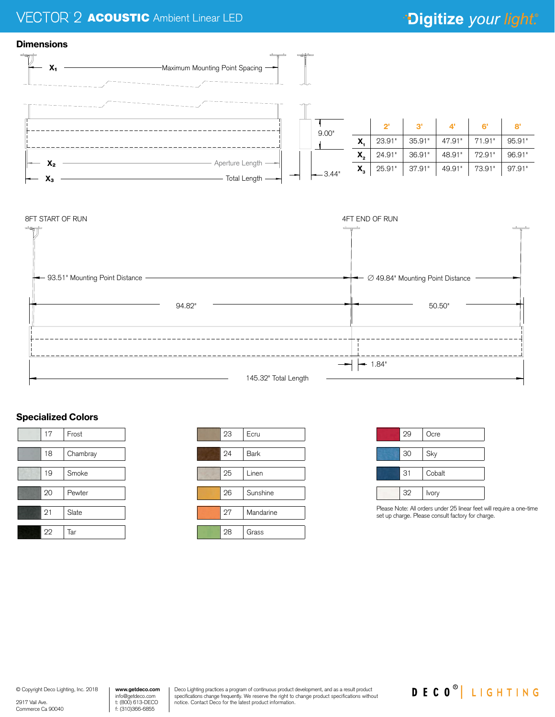## <sup>2</sup> **ACOUSTIC** Ambient Linear LED

# \*Digitize your light.®





### Specialized Colors





| 29 | Ocre   |
|----|--------|
| 30 | Sky    |
| 31 | Cobalt |
| 32 | Ivory  |

Please Note: All orders under 25 linear feet will require a one-time set up charge. Please consult factory for charge.

© Copyright Deco Lighting, Inc. 2018

2917 Vail Ave. Commerce Ca 90040 **www.getdeco.com** info@getdeco.com t: (800) 613-DECO f: (310)366-6855

Deco Lighting practices a program of continuous product development, and as a result product specifications change frequently. We reserve the right to change product specifications without notice. Contact Deco for the latest product information.